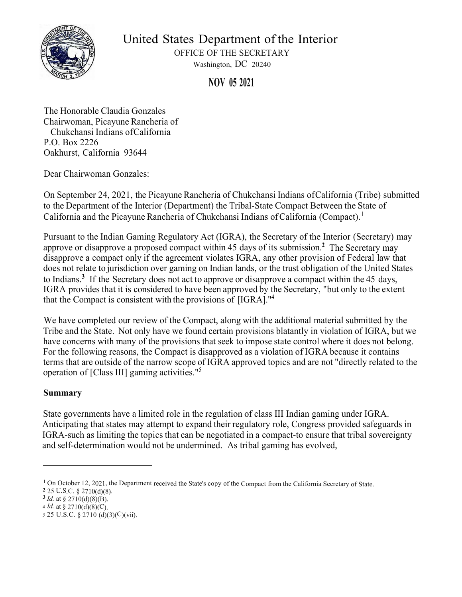

United States Department of the Interior

OFFICE OF THE SECRETARY Washington, DC 20240

**NOV 05 2021** 

The Honorable Claudia Gonzales Chairwoman, Picayune Rancheria of Chukchansi Indians of California P.O. Box 2226 Oakhurst, California 93644

Dear Chairwoman Gonzales:

On September 24, 2021, the Picayune Rancheria of Chukchansi Indians of California (Tribe) submitted to the Department of the Interior (Department) the Tribal-State Compact Between the State of California and the Picayune Rancheria of Chukchansi Indians of California (Compact). 1

Pursuant to the Indian Gaming Regulatory Act (IGRA), the Secretary of th[e I](#page-1-0)nterior (Secretary) may approve or disapprove a proposed compact within 45 days of its submission. **<sup>2</sup>** The Secretary may disapprove a compact only if the agreement violates IGRA, any other provision of Federal law that does not relate to jurisdiction over gaming on Indian lands, or the trust obligation of the United States to Indians.**<sup>3</sup>**If the Secretary does not act to approve or disapprove a compact within the 45 days, IGRA provides that it is considered to have been approved by the Secretary, "but only to the extent that the Compact is consistent with the provisions of [IGRA]."<sup>4</sup>

We have completed our review of the Compact, along with the additional material submitted by the Tribe and the State. Not only have we found certain provisions blatantly in violation of IGRA, but we have concerns with many of the provisions that seek to impose state control where it does not belong. For the following reasons, the Compact is disapproved as a violation of IGRA because it contains terms that are outside of the narrow scope of IGRA approved topics and are not "directly related to the operation of [Class III] gaming activities."<sup>5</sup>

# **Summary**

State governments have a limited role in the regulation of class III Indian gaming under IGRA. Anticipating that states may attempt to expand their regulatory role, Congress provided safeguards in IGRA-such as limiting the topics that can be negotiated in a compact-to ensure that tribal sovereignty and self-determination would not be undermined. As tribal gaming has evolved,

<sup>&</sup>lt;sup>1</sup> On October 12, 2021, the Department received the State's copy of the Compact from the California Secretary of State.

**<sup>2</sup>**<sup>25</sup> U.S.C. § 2710(d)(8).

 $3$ *Id.* at § 2710(d)(8)(B).

**<sup>4</sup>***Id.* at § 2710(d)(8)(C).

*<sup>5</sup>*25 U.S.C. § 2710 (d)(3)(C)(vii).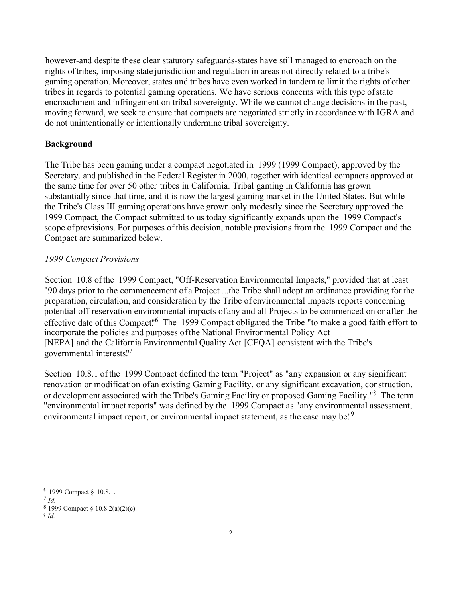<span id="page-1-0"></span>however-and despite these clear statutory safeguards-states have still managed to encroach on the rights of tribes, imposing state jurisdiction and regulation in areas not directly related to a tribe's gaming operation. Moreover, states and tribes have even worked in tandem to limit the rights of other tribes in regards to potential gaming operations. We have serious concerns with this type of state encroachment and infringement on tribal sovereignty. While we cannot change decisions in the past, moving forward, we seek to ensure that compacts are negotiated strictly in accordance with IGRA and do not unintentionally or intentionally undermine tribal sovereignty.

# **Background**

The Tribe has been gaming under a compact negotiated in 1999 (1999 Compact), approved by the Secretary, and published in the Federal Register in 2000, together with identical compacts approved at the same time for over 50 other tribes in California. Tribal gaming in California has grown substantially since that time, and it is now the largest gaming market in the United States. But while the Tribe's Class III gaming operations have grown only modestly since the Secretary approved the 1999 Compact, the Compact submitted to us today significantly expands upon the 1999 Compact's scope of provisions. For purposes of this decision, notable provisions from the 1999 Compact and the Compact are summarized below.

## *1999 Compact Provisions*

Section 10.8 of the 1999 Compact, "Off-Reservation Environmental Impacts," provided that at least "90 days prior to the commencement of a Project ... the Tribe shall adopt an ordinance providing for the preparation, circulation, and consideration by the Tribe of environmental impacts reports concerning potential off-reservation environmental impacts of any and all Projects to be commenced on or after the effective date of this Compact.<sup>16</sup> The 1999 Compact obligated the Tribe "to make a good faith effort to incorporate the policies and purposes of the National Environmental Policy Act [NEPA] and the California Environmental Quality Act [CEQA] consistent with the Tribe's governmental interests." 7

Section 10.8.1 of the 1999 Compact defined the term "Project" as "any expansion or any significant renovation or modification of an existing Gaming Facility, or any significant excavation, construction, or development associated with the Tribe's Gaming Facility or proposed Gaming Facility."<sup>8</sup> The term "environmental impact reports" was defined by the 1999 Compact as "any environmental assessment, environmental impact report, or environmental impact statement, as the case may be."<sup>9</sup>

**<sup>6</sup>**1999 Compact § 10.8.1.

*<sup>7</sup> Id.*

**<sup>8</sup>**1999 Compact § 10.8.2(a)(2)(c).

**<sup>9</sup>***Id.*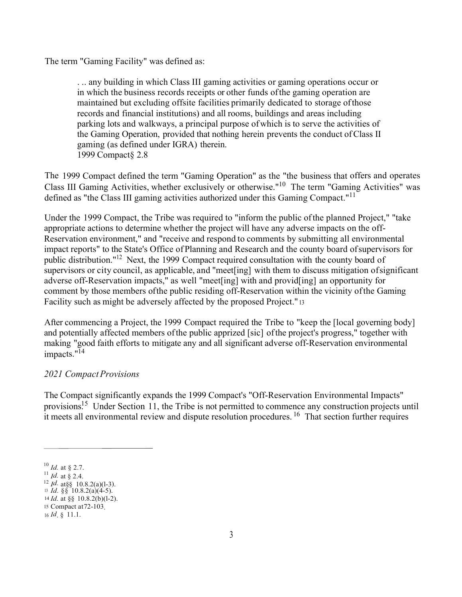The term "Gaming Facility" was defined as:

. .. any building in which Class III gaming activities or gaming operations occur or in which the business records receipts or other funds ofthe gaming operation are maintained but excluding offsite facilities primarily dedicated to storage ofthose records and financial institutions) and all rooms, buildings and areas including parking lots and walkways, a principal purpose ofwhich is to serve the activities of the Gaming Operation, provided that nothing herein prevents the conduct ofClass II gaming (as defined under IGRA) therein. 1999 Compact§ 2.8

The 1999 Compact defined the term "Gaming Operation" as the "the business that offers and operates Class III Gaming Activities, whether exclusively or otherwise."<sup>10</sup> The term "Gaming Activities" was defined as "the Class III gaming activities authorized under this Gaming Compact."<sup>11</sup>

Under the 1999 Compact, the Tribe was required to "inform the public ofthe planned Project," "take appropriate actions to determine whether the project will have any adverse impacts on the off-Reservation environment," and "receive and respond to comments by submitting all environmental impact reports" to the State's Office of Planning and Research and the county board ofsupervisors for public distribution."<sup>12</sup> Next, the 1999 Compact required consultation with the county board of supervisors or city council, as applicable, and "meet[ing] with them to discuss mitigation ofsignificant adverse off-Reservation impacts," as well "meet[ing] with and provid[ing] an opportunity for comment by those members ofthe public residing off-Reservation within the vicinity ofthe Gaming Facility such as might be adversely affected by the proposed Project." <sup>13</sup>

After commencing a Project, the 1999 Compact required the Tribe to "keep the [local governing body] and potentially affected members ofthe public apprized [sic] ofthe project's progress," together with making "good faith efforts to mitigate any and all significant adverse off-Reservation environmental impacts."<sup>14</sup>

# *2021 CompactProvisions*

The Compact significantly expands the 1999 Compact's "Off-Reservation Environmental Impacts" provisions<sup>15</sup> Under Section 11, the Tribe is not permitted to commence any construction projects until it meets all environmental review and dispute resolution procedures. <sup>16</sup> That section further requires

<sup>10</sup>*Id.* at § 2.7.

<sup>&</sup>lt;sup>11</sup> *Id.* at § 2.4.

 $12$  *Id.* at §§ 10.8.2(a)(1-3).

<sup>13</sup>*Id.* §§ 10.8.2(a)(4-5).

<sup>14</sup>*Id.* at §§ 10.8.2(b)(l-2). <sup>15</sup>Compact at72-103.

<sup>16</sup>*Id*. § 11.1.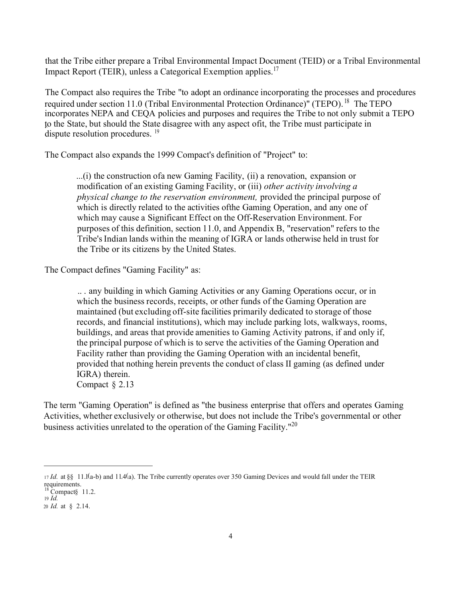that the Tribe either prepare a Tribal Environmental Impact Document (TEID) or a Tribal Environmental Impact Report (TEIR), unless a Categorical Exemption [applies.](https://applies.17)<sup>17</sup>

The Compact also requires the Tribe "to adopt an ordinance incorporating the processes and procedures required under section 11.0 (Tribal Environmental Protection Ordinance)" (TEPO).<sup>18</sup> The TEPO incorporates NEPA and CEQA policies and purposes and requires the Tribe to not only submit a TEPO to the State, but should the State disagree with any aspect of it, the Tribe must participate in dispute resolution procedures. <sup>19</sup>

The Compact also expands the 1999 Compact's definition of "Project" to:

...(i) the construction of a new Gaming Facility, (ii) a renovation, expansion or modification of an existing Gaming Facility, or (iii) *other activity involving a physical change to the reservation environment,* provided the principal purpose of which is directly related to the activities of the Gaming Operation, and any one of which may cause a Significant Effect on the Off-Reservation Environment. For purposes of this definition, section 11.0, and Appendix B, "reservation" refers to the Tribe's Indian lands within the meaning of IGRA or lands otherwise held in trust for the Tribe or its citizens by the United States.

The Compact defines "Gaming Facility" as:

.. . any building in which Gaming Activities or any Gaming Operations occur, or in which the business records, receipts, or other funds of the Gaming Operation are maintained (but excluding off-site facilities primarily dedicated to storage of those records, and financial institutions), which may include parking lots, walkways, rooms, buildings, and areas that provide amenities to Gaming Activity patrons, if and only if, the principal purpose of which is to serve the activities of the Gaming Operation and Facility rather than providing the Gaming Operation with an incidental benefit, provided that nothing herein prevents the conduct of class II gaming (as defined under IGRA) therein. Compact § 2.13

The term "Gaming Operation" is defined as "the business enterprise that offers and operates Gaming Activities, whether exclusively or otherwise, but does not include the Tribe's governmental or other business activities unrelated to the operation of the Gaming Facility."<sup>20</sup>

<sup>17</sup>*Id.* at §§ 11.l(a-b) and l l.4(a). The Tribe currently operates over 350 Gaming Devices and would fall under the TEIR requirements.

 $18$  Compact § 11.2. <sup>19</sup> *Id.*

<sup>20</sup>*Id.* at § 2.14.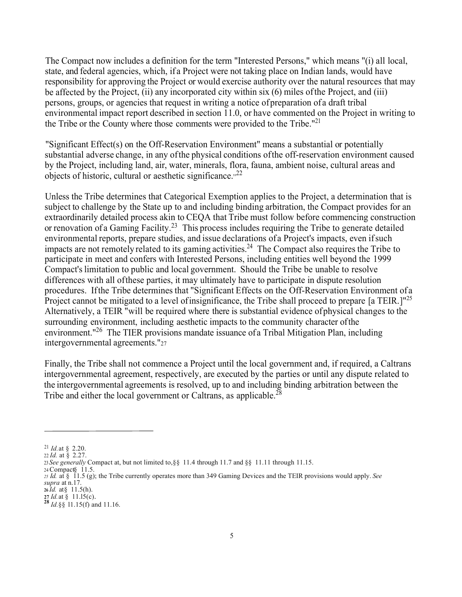The Compact now includes a definition for the term "Interested Persons," which means "(i) all local, state, and federal agencies, which, if a Project were not taking place on Indian lands, would have responsibility for approving the Project or would exercise authority over the natural resources that may be affected by the Project, (ii) any incorporated city within six (6) miles ofthe Project, and (iii) persons, groups, or agencies that request in writing a notice ofpreparation of a draft tribal environmental impact report described in section 11.0, or have commented on the Project in writing to the Tribe or the County where those comments were provided to the Tribe."<sup>21</sup>

"Significant Effect(s) on the Off-Reservation Environment" means a substantial or potentially substantial adverse change, in any ofthe physical conditions ofthe off-reservation environment caused by the Project, including land, air, water, minerals, flora, fauna, ambient noise, cultural areas and objects of historic, cultural or aesthetic significance. $^{22}$ 

Unless the Tribe determines that Categorical Exemption applies to the Project, a determination that is subject to challenge by the State up to and including binding arbitration, the Compact provides for an extraordinarily detailed process akin to CEQA that Tribe must follow before commencing construction or renovation of a Gaming [Facility.](https://Facility.23)<sup>23</sup> This process includes requiring the Tribe to generate detailed environmental reports, prepare studies, and issue declarations of a Project's impacts, even ifsuch impacts are not remotely related to its gaming [activities.](https://activities.24)<sup>24</sup> The Compact also requires the Tribe to participate in meet and confers with Interested Persons, including entities well beyond the 1999 Compact's limitation to public and local government. Should the Tribe be unable to resolve differences with all ofthese parties, it may ultimately have to participate in dispute resolution procedures. Ifthe Tribe determines that "Significant Effects on the Off-Reservation Environment of <sup>a</sup> Project cannot be mitigated to a level of insignificance, the Tribe shall proceed to prepare [a TEIR.]<sup>"25</sup> Alternatively, a TEIR "will be required where there is substantial evidence ofphysical changes to the surrounding environment, including aesthetic impacts to the community character ofthe environment."<sup>26</sup> The TIER provisions mandate issuance of a Tribal Mitigation Plan, including intergovernmental agreements."27

Finally, the Tribe shall not commence a Project until the local government and, if required, a Caltrans intergovernmental agreement, respectively, are executed by the parties or until any dispute related to the intergovernmental agreements is resolved, up to and including binding arbitration between the Tribe and either the local government or Caltrans, as app[licable.](https://applicable.28)<sup>28</sup>

<sup>21</sup>*Id.*at § 2.20.

<sup>22</sup> *Id.* at § 2.27.

<sup>23</sup> *See generally* Compact at, but not limited to,§§ 11.4 through 11.7 and §§ 11.11 through 11.15.

<sup>24</sup> Compact§ 11.5. *<sup>25</sup> Id.* at § 11.5 (g); the Tribe currently operates more than 349 Gaming Devices and the TEIR provisions would apply. *See supra* at n.17.

**<sup>26</sup>***Id.* at § 11.5(h).

**<sup>27</sup>** *Id.*at § 11.l5(c).

 $^{28}$ *Id.* §§<sup>9</sup>11.15(f) and 11.16.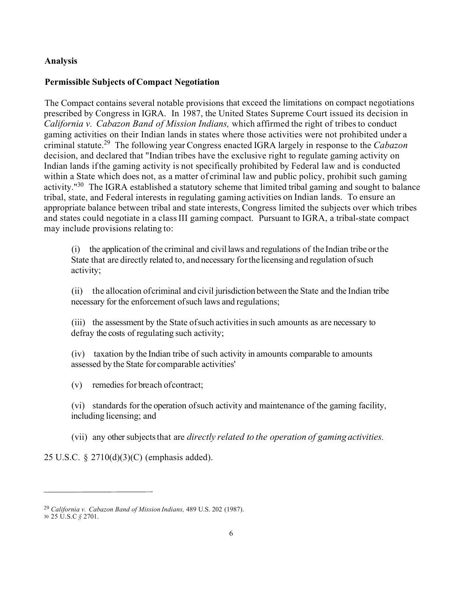# **Analysis**

#### **Permissible Subjects of Compact Negotiation**

The Compact contains several notable provisions that exceed the limitations on compact negotiations prescribed by Congress in IGRA. In 1987, the United States Supreme Court issued its decision in *California v. Cabazon Band of Mission Indians,* which affirmed the right of tribesto conduct gaming activities on their Indian lands in states where those activities were not prohibited under <sup>a</sup> criminal [statute.](https://statute.29)<sup>29</sup> The following year Congress enacted IGRA largely in response to the *Cabazon*  decision, and declared that "Indian tribes have the exclusive right to regulate gaming activity on Indian lands ifthe gaming activity is not specifically prohibited by Federal law and is conducted within a State which does not, as a matter of criminal law and public policy, prohibit such gaming activity."<sup>30</sup> The IGRA established a statutory scheme that limited tribal gaming and sought to balance tribal, state, and Federal interests in regulating gaming activities on Indian lands. To ensure an appropriate balance between tribal and state interests, Congress limited the subjects over which tribes and states could negotiate in a classIII gaming compact. Pursuant to IGRA, a tribal-state compact may include provisions relating to:

(i) the application of the criminal and civil laws and regulations of the Indian tribe orthe State that are directly related to, and necessary forthe licensing and regulation ofsuch activity;

(ii) the allocation ofcriminal and civil jurisdiction between the State and the Indian tribe necessary for the enforcement ofsuch laws and regulations;

(iii) the assessment by the State of such activities in such amounts as are necessary to defray the costs of regulating such activity;

(iv) taxation by the Indian tribe of such activity in amounts comparable to amounts assessed by the State for comparable activities'

(v) remedies for breach ofcontract;

(vi) standards forthe operation ofsuch activity and maintenance of the gaming facility, including licensing; and

(vii) any other subjectsthat are *directly related to the operation of gaming activities.*

25 U.S.C. § 2710(d)(3)(C) (emphasis added).

<sup>29</sup>*California v. Cabazon Band of Mission Indians,* 489 U.S. 202 (1987).

<sup>30</sup>25 U.S.C *§* 2701.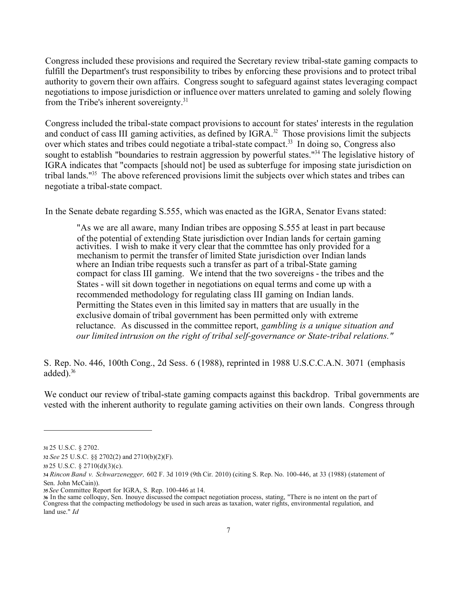Congress included these provisions and required the Secretary review tribal-state gaming compacts to fulfill the Department's trust responsibility to tribes by enforcing these provisions and to protect tribal authority to govern their own affairs. Congress sought to safeguard against states leveraging compact negotiations to impose jurisdiction or influence over matters unrelated to gaming and solely flowing from the Tribe's inherent [sovereignty.31](https://sovereignty.31)

Congress included the tribal-state compact provisions to account for states' interests in the regulation and conduct of cass III gaming activities, as defined by IGRA.<sup>32</sup> Those provisions limit the subjects over which states and tribes could negotiate a tribal-state compact.<sup>33</sup> In doing so, Congress also sought to establish "boundaries to restrain aggression by powerful states."<sup>34</sup> The legislative history of IGRA indicates that "compacts [should not] be used as subterfuge for imposing state jurisdiction on tribal lands."35 The above referenced provisions limit the subjects over which states and tribes can negotiate a tribal-state compact.

In the Senate debate regarding S.555, which was enacted as the IGRA, Senator Evans stated:

"As we are all aware, many Indian tribes are opposing S.555 at least in part because of the potential of extending State jurisdiction over Indian lands for certain gaming of the potential of extending State jurisdiction over Indian lands for certain gaming activities. I wish to make it very clear that the commttee has only provided for a mechanism to permit the transfer of limited State jurisdiction over Indian lands where an Indian tribe requests such a transfer as part of a tribal-State gaming compact for class III gaming. We intend that the two sovereigns - the tribes and the States - will sit down together in negotiations on equal terms and come up with a recommended methodology for regulating class III gaming on Indian lands. Permitting the States even in this limited say in matters that are usually in the exclusive domain of tribal government has been permitted only with extreme reluctance. As discussed in the committee report, *gambling is a unique situation and our limited intrusion on the right of tribal self-governance or State-tribal relations."* 

S. Rep. No. 446, 100th Cong., 2d Sess. 6 (1988), reprinted in 1988 U.S.C.C.A.N. 3071 (emphasis added). $36$ 

We conduct our review of tribal-state gaming compacts against this backdrop. Tribal governments are vested with the inherent authority to regulate gaming activities on their own lands. Congress through

**<sup>31</sup>** 25 U.S.C. § 2702.

**<sup>32</sup>***See* 25 U.S.C. §§ 2702(2) and 2710(b)(2)(F).

**<sup>33</sup>** 25 U.S.C. § 2710(d)(3)(c).

**<sup>34</sup>***Rincon Band v. Schwarzenegger,* 602 F. 3d 1019 (9th Cir. 2010) (citing S. Rep. No. 100-446, at 33 (1988) (statement of Sen. John McCain)).

**<sup>35</sup>***See* Committee Report for IGRA, S. Rep. 100-446 at 14.

**<sup>36</sup>** In the same colloquy, Sen. Inouye discussed the compact negotiation process, stating, "There is no intent on the part of Congress that the compacting methodology be used in such areas as taxation, water rights, environmental regulation, and land use." *Id*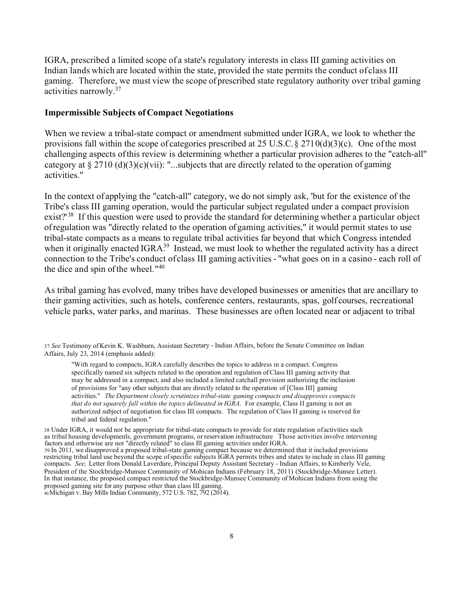IGRA, prescribed a limited scope of a state's regulatory interests in class III gaming activities on Indian lands which are located within the state, provided the state permits the conduct ofclass III gaming. Therefore, we must view the scope of prescribed state regulatory authority over tribal gaming activities [narrowly.](https://narrowly.37)<sup>37</sup>

#### **Impermissible Subjects ofCompact Negotiations**

When we review a tribal-state compact or amendment submitted under IGRA, we look to whether the provisions fall within the scope of categories prescribed at 25 U.S.C.  $\S 2710(d)(3)(c)$ . One of the most challenging aspects ofthis review is determining whether a particular provision adheres to the "catch-all" category at  $\S 2710$  (d)(3)(c)(vii): "...subjects that are directly related to the operation of gaming activities."

In the context of applying the "catch-all" category, we do not simply ask, 'but for the existence of the Tribe's class III gaming operation, would the particular subject regulated under a compact provision exist?<sup>'38</sup> If this question were used to provide the standard for determining whether a particular object ofregulation was "directly related to the operation of gaming activities," it would permit states to use tribal-state compacts as a means to regulate tribal activities far beyond that which Congress intended when it originally enacted IGRA<sup>39</sup> Instead, we must look to whether the regulated activity has a direct connection to the Tribe's conduct of class III gaming activities - "what goes on in a casino - each roll of the dice and spin of the wheel."<sup>40</sup>

As tribal gaming has evolved, many tribes have developed businesses or amenities that are ancillary to their gaming activities, such as hotels, conference centers, restaurants, spas, golf courses, recreational vehicle parks, water parks, and marinas. These businesses are often located near or adjacent to tribal

<sup>37</sup>*See* Testimony ofKevin K. Washburn, Assistant Secretary - Indian Affairs, before the Senate Committee on Indian Affairs, July 23, 2014 (emphasis added):

"With regard to compacts, IGRA carefully describes the topics to address in a compact. Congress specifically named six subjects related to the operation and regulation ofClass III gaming activity that may be addressed in a compact, and also included a limited catchall provision authorizing the inclusion of provisions for "any other subjects that are directly related to the operation of [Class III] gaming activities." *The Department closely scrutinizes tribal-state gaming compacts and disapproves compacts that do not squarely fall within the topics delineated in IGRA.* For example, Class II gaming is not an authorized subject of negotiation for class III compacts. The regulation of Class II gaming is reserved for tribal and federal regulation."

38 Under IGRA, it would not be appropriate for tribal-state compacts to provide for state regulation ofactivities such as tribal housing developmenls, government programs, or reservation infrastructure Those activities involve intervening factors and otherwise are not "directly related" to class Ill gaming activities under IGRA. 39 In 2011, we disapproved a proposed tribal-state gaming compact because we determined that it included provisions restricting tribal land use beyond the scope ofspecific subjects IGRA permits tribes and states to include in class III gaming compacts. *See,* Letter from Donald Laverdure, Principal Deputy Assistant Secretary - Indian Affairs, to Kimberly Vele, President of the Stockbridge-Munsee Community of Mohican Indians (February 18, 2011) (Stockbridge-Munsee Letter). In that instance, the proposed compact restricted the Stockbridge-Munsee Community of Mohican Indians from using the proposed gaming site for any purpose other than class III gaming. 40 Michigan v. Bay Mills Indian Community, 572 U.S. 782, 792 (2014).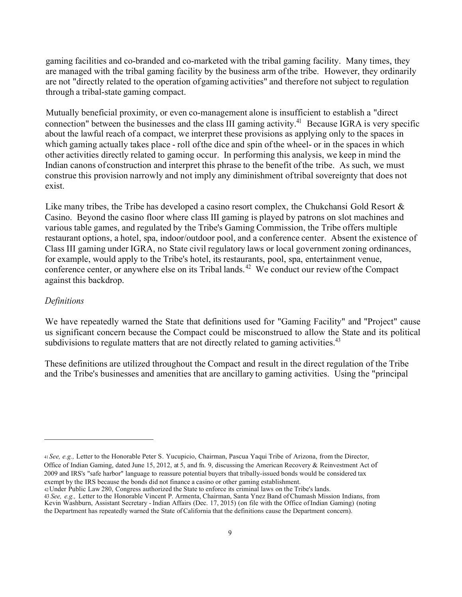gaming facilities and co-branded and co-marketed with the tribal gaming facility. Many times, they are managed with the tribal gaming facility by the business arm of the tribe. However, they ordinarily are not "directly related to the operation of gaming activities" and therefore not subject to regulation through a tribal-state gaming compact.

Mutually beneficial proximity, or even co-management alone is insufficient to establish a "direct connection" between the businesses and the class III gaming activity.<sup>41</sup> Because IGRA is very specific about the lawful reach of a compact, we interpret these provisions as applying only to the spaces in which gaming actually takes place - roll of the dice and spin of the wheel- or in the spaces in which other activities directly related to gaming occur. In performing this analysis, we keep in mind the Indian canons of construction and interpret this phrase to the benefit of the tribe. As such, we must construe this provision narrowly and not imply any diminishment of tribal sovereignty that does not exist.

Like many tribes, the Tribe has developed a casino resort complex, the Chukchansi Gold Resort & Casino. Beyond the casino floor where class III gaming is played by patrons on slot machines and various table games, and regulated by the Tribe's Gaming Commission, the Tribe offers multiple restaurant options, a hotel, spa, indoor/outdoor pool, and a conference center. Absent the existence of Class III gaming under IGRA, no State civil regulatory laws or local government zoning ordinances, for example, would apply to the Tribe's hotel, its restaurants, pool, spa, entertainment venue, conference center, or anywhere else on its Tribal [lands.](https://lands.42)<sup>42</sup> We conduct our review of the Compact against this backdrop.

## *Definitions*

We have repeatedly warned the State that definitions used for "Gaming Facility" and "Project" cause us significant concern because the Compact could be misconstrued to allow the State and its political subdivisions to regulate matters that are not directly related to gaming activities.<sup>43</sup>

These definitions are utilized throughout the Compact and result in the direct regulation of the Tribe and the Tribe's businesses and amenities that are ancillary to gaming activities. Using the "principal

<sup>41</sup>*See, e.g.,* Letter to the Honorable Peter S. Yucupicio, Chairman, Pascua Yaqui Tribe of Arizona, from the Director, Office of Indian Gaming, dated June 15, 2012, at 5, and fn. 9, discussing the American Recovery & Reinvestment Act of 2009 and IRS's "safe harbor" language to reassure potential buyers that tribally-issued bonds would be considered tax exempt by the IRS because the bonds did not finance a casino or other gaming establishment.

<sup>42</sup>Under Public Law 280, Congress authorized the State to enforce its criminal laws on the Tribe's lands.

<sup>43</sup> *See, e.g.,* Letter to the Honorable Vincent P. Armenta, Chairman, Santa Ynez Band of Chumash Mission Indians, from Kevin Washburn, Assistant Secretary - Indian Affairs (Dec. 17, 2015) ( on file with the Office of Indian Gaming) (noting the Department has repeatedly warned the State of California that the definitions cause the Department concern).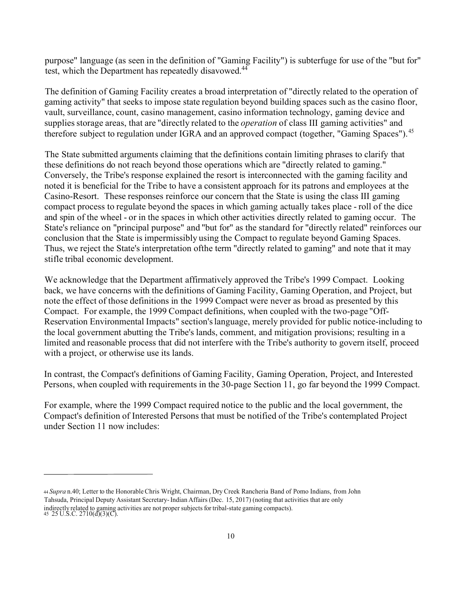purpose" language (as seen in the definition of "Gaming Facility") is subterfuge for use of the "but for" test, which the Department has repeatedly disavowed.<sup>44</sup>

The definition of Gaming Facility creates a broad interpretation of "directly related to the operation of gaming activity" that seeks to impose state regulation beyond building spaces such as the casino floor, vault, surveillance, count, casino management, casino information technology, gaming device and supplies storage areas, that are "directly related to the *operation* of class III gaming activities" and therefore subject to regulation under IGRA and an approved compact (together, "Gaming [Spaces"\).](https://Spaces").45)<sup>45</sup>

The State submitted arguments claiming that the definitions contain limiting phrases to clarify that these definitions do not reach beyond those operations which are "directly related to gaming." Conversely, the Tribe's response explained the resort is interconnected with the gaming facility and noted it is beneficial for the Tribe to have a consistent approach for its patrons and employees at the Casino-Resort. These responses reinforce our concern that the State is using the class III gaming compact process to regulate beyond the spaces in which gaming actually takes place - roll of the dice and spin of the wheel - or in the spaces in which other activities directly related to gaming occur. The State's reliance on "principal purpose" and "but for" as the standard for "directly related" reinforces our conclusion that the State is impermissibly using the Compact to regulate beyond Gaming Spaces. Thus, we reject the State's interpretation of the term "directly related to gaming" and note that it may stifle tribal economic development.

We acknowledge that the Department affirmatively approved the Tribe's 1999 Compact. Looking back, we have concerns with the definitions of Gaming Facility, Gaming Operation, and Project, but note the effect of those definitions in the 1999 Compact were never as broad as presented by this Compact. For example, the 1999 Compact definitions, when coupled with the two-page "Off-Reservation Environmental Impacts" section's language, merely provided for public notice-including to the local government abutting the Tribe's lands, comment, and mitigation provisions; resulting in a limited and reasonable process that did not interfere with the Tribe's authority to govern itself, proceed with a project, or otherwise use its lands.

In contrast, the Compact's definitions of Gaming Facility, Gaming Operation, Project, and Interested Persons, when coupled with requirements in the 30-page Section 11, go far beyond the 1999 Compact.

For example, where the 1999 Compact required notice to the public and the local government, the Compact's definition of Interested Persons that must be notified of the Tribe's contemplated Project under Section 11 now includes:

<sup>44</sup>*Supra* n.40; Letter to the Honorable Chris Wright, Chairman, Dry Creek Rancheria Band of Pomo Indians, from John Tahsuda, Principal Deputy Assistant Secretary- Indian Affairs (Dec. 15, 2017) (noting that activities that are only indirectly related to gaming activities are not proper subjects for tribal-state gaming compacts). 45 25 U.S.C. 2710(d)(3)(C).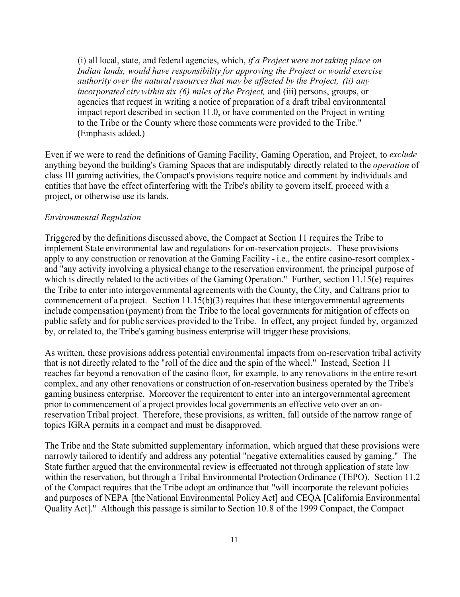(i) all local, state, and federal agencies, which, *if a Project were not taking place on Indian lands, would have responsibility for approving the Project or would exercise authority over the natural resources that may be affected by the Project, (ii) any incorporated city within six (6) miles of the Project, and (iii) persons, groups, or* agencies that request in writing a notice of preparation of a draft tribal environmental impact report described in section 11.0, or have commented on the Project in writing to the Tribe or the County where those comments were provided to the Tribe." (Emphasis added.)

Even if we were to read the definitions of Gaming Facility, Gaming Operation, and Project, to *exclude*  anything beyond the building's Gaming Spaces that are indisputably directly related to the *operation* of class III gaming activities, the Compact's provisions require notice and comment by individuals and entities that have the effect of interfering with the Tribe's ability to govern itself, proceed with a project, or otherwise use its lands.

## *Environmental Regulation*

Triggered by the definitions discussed above, the Compact at Section 11 requires the Tribe to implement State environmental law and regulations for on-reservation projects. These provisions apply to any construction or renovation at the Gaming Facility - i.e., the entire casino-resort complex and "any activity involving a physical change to the reservation environment, the principal purpose of which is directly related to the activities of the Gaming Operation." Further, section  $11.15(e)$  requires the Tribe to enter into intergovernmental agreements with the County, the City, and Caltrans prior to commencement of a project. Section  $11.15(b)(3)$  requires that these intergovernmental agreements include compensation (payment) from the Tribe to the local governments for mitigation of effects on public safety and for public services provided to the Tribe. In effect, any project funded by, organized by, or related to, the Tribe's gaming business enterprise will trigger these provisions.

As written, these provisions address potential environmental impacts from on-reservation tribal activity that is not directly related to the "roll of the dice and the spin of the wheel." Instead, Section 11 reaches far beyond a renovation of the casino floor, for example, to any renovations in the entire resort complex, and any other renovations or construction of on-reservation business operated by the Tribe's gaming business enterprise. Moreover the requirement to enter into an intergovernmental agreement prior to commencement of a project provides local governments an effective veto over an onreservation Tribal project. Therefore, these provisions, as written, fall outside of the narrow range of topics IGRA permits in a compact and must be disapproved.

The Tribe and the State submitted supplementary information, which argued that these provisions were narrowly tailored to identify and address any potential "negative externalities caused by gaming." The State further argued that the environmental review is effectuated not through application of state law within the reservation, but through a Tribal Environmental Protection Ordinance (TEPO). Section 11.2 of the Compact requires that the Tribe adopt an ordinance that "will incorporate the relevant policies and purposes of NEPA [the National Environmental Policy Act] and CEQA [California Environmental Quality Act]." Although this passage is similar to Section 10. 8 of the 1999 Compact, the Compact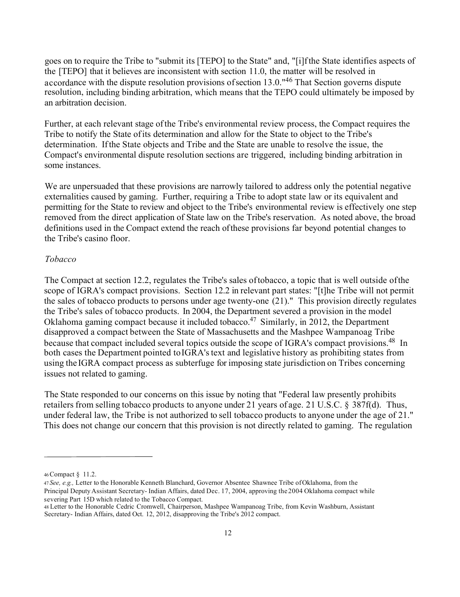goes on to require the Tribe to "submit its [TEPO] to the State" and, "[i]fthe State identifies aspects of the [TEPO] that it believes are inconsistent with section 11.0, the matter will be resolved in accordance with the dispute resolution provisions of section 13.0."<sup>46</sup> That Section governs dispute resolution, including binding arbitration, which means that the TEPO could ultimately be imposed by an arbitration decision.

Further, at each relevant stage ofthe Tribe's environmental review process, the Compact requires the Tribe to notify the State ofits determination and allow for the State to object to the Tribe's determination. Ifthe State objects and Tribe and the State are unable to resolve the issue, the Compact's environmental dispute resolution sections are triggered, including binding arbitration in some instances.

We are unpersuaded that these provisions are narrowly tailored to address only the potential negative externalities caused by gaming. Further, requiring a Tribe to adopt state law or its equivalent and permitting for the State to review and object to the Tribe's environmental review is effectively one step removed from the direct application of State law on the Tribe's reservation. As noted above, the broad definitions used in the Compact extend the reach ofthese provisions far beyond potential changes to the Tribe's casino floor.

#### *Tobacco*

The Compact at section 12.2, regulates the Tribe's sales oftobacco, a topic that is well outside ofthe scope of IGRA's compact provisions. Section 12.2 in relevant part states: "[t]he Tribe will not permit the sales of tobacco products to persons under age twenty-one (21)." This provision directly regulates the Tribe's sales of tobacco products. In 2004, the Department severed a provision in the model Oklahoma gaming compact because it included [tobacco.](https://tobacco.47)<sup>47</sup> Similarly, in 2012, the Department disapproved a compact between the State of Massachusetts and the Mashpee Wampanoag Tribe because that compact included several topics outside the scope of IGRA's compact [provisions.](https://provisions.48)<sup>48</sup> In both cases the Department pointed to IGRA's text and legislative history as prohibiting states from using the IGRA compact process as subterfuge for imposing state jurisdiction on Tribes concerning issues not related to gaming.

The State responded to our concerns on this issue by noting that "Federal law presently prohibits retailers from selling tobacco products to anyone under 21 years of age. 21 U.S.C. § 387f(d). Thus, under federal law, the Tribe is not authorized to sell tobacco products to anyone under the age of 21." This does not change our concern that this provision is not directly related to gaming. The regulation

<sup>46</sup>Compact § 11.2.

<sup>47</sup>*See, e.g.,* Letter to the Honorable Kenneth Blanchard, Governor Absentee Shawnee Tribe ofOklahoma, from the Principal Deputy Assistant Secretary- Indian Affairs, dated Dec. 17, 2004, approving the 2004 Oklahoma compact while severing Part 15D which related to the Tobacco Compact.

<sup>48</sup>Letter to the Honorable Cedric Cromwell, Chairperson, Mashpee Wampanoag Tribe, from Kevin Washburn, Assistant Secretary- Indian Affairs, dated Oct. 12, 2012, disapproving the Tribe's 2012 compact.